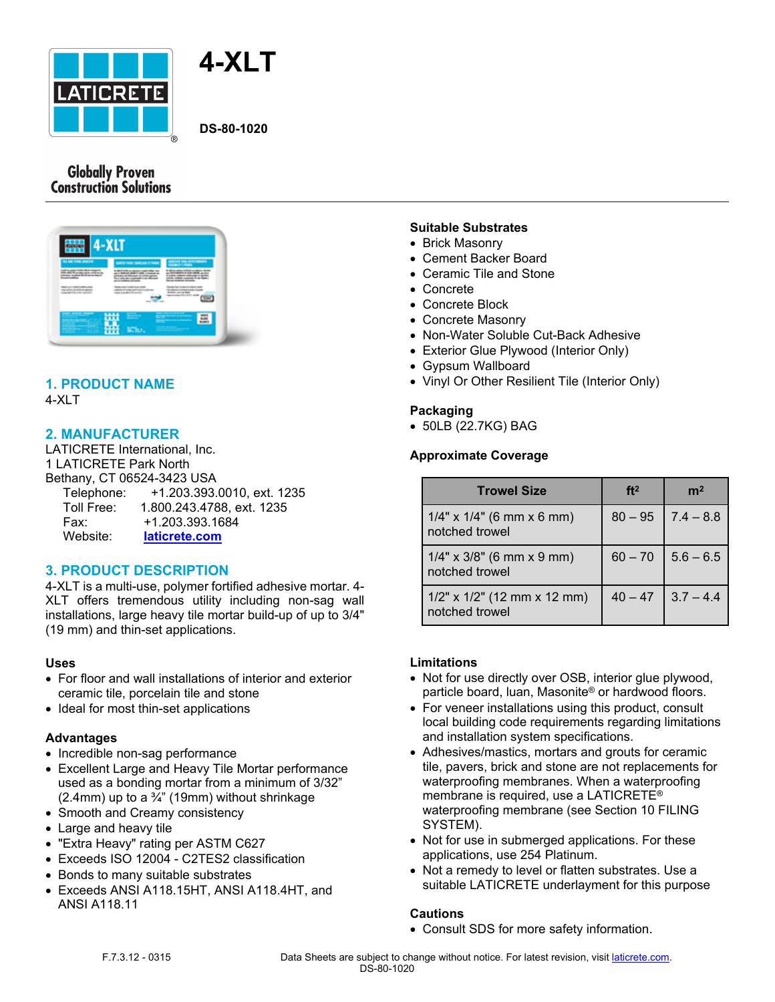



**DS-80-1020**

## **Globally Proven Construction Solutions**



# **1. PRODUCT NAME**

4-XLT

## **2. MANUFACTURER**

LATICRETE International, Inc. 1 LATICRETE Park North Bethany, CT 06524-3423 USA Telephone: +1.203.393.0010, ext. 1235 Toll Free: 1.800.243.4788, ext. 1235

Fax: +1.203.393.1684

## Website: **[laticrete.com](https://laticrete.com/)**

## **3. PRODUCT DESCRIPTION**

4-XLT is a multi-use, polymer fortified adhesive mortar. 4- XLT offers tremendous utility including non-sag wall installations, large heavy tile mortar build-up of up to 3/4" (19 mm) and thin-set applications.

#### **Uses**

- For floor and wall installations of interior and exterior ceramic tile, porcelain tile and stone
- Ideal for most thin-set applications

#### **Advantages**

- Incredible non-sag performance
- Excellent Large and Heavy Tile Mortar performance used as a bonding mortar from a minimum of 3/32"  $(2.4$ mm) up to a  $\frac{3}{4}$ " (19mm) without shrinkage
- Smooth and Creamy consistency
- Large and heavy tile
- "Extra Heavy" rating per ASTM C627
- Exceeds ISO 12004 C2TES2 classification
- Bonds to many suitable substrates
- Exceeds ANSI A118.15HT, ANSI A118.4HT, and ANSI A118.11

#### **Suitable Substrates**

- Brick Masonry
- Cement Backer Board
- Ceramic Tile and Stone
- Concrete
- Concrete Block
- Concrete Masonry
- Non-Water Soluble Cut-Back Adhesive
- Exterior Glue Plywood (Interior Only)
- Gypsum Wallboard
- Vinyl Or Other Resilient Tile (Interior Only)

### **Packaging**

50LB (22.7KG) BAG

#### **Approximate Coverage**

| <b>Trowel Size</b>                                  | ft <sup>2</sup> | m <sup>2</sup> |
|-----------------------------------------------------|-----------------|----------------|
| $1/4"$ x $1/4"$ (6 mm x 6 mm)<br>notched trowel     | $80 - 95$       | $ 7.4 - 8.8 $  |
| $1/4$ " x $3/8$ " (6 mm x 9 mm)<br>notched trowel   | $60 - 70$       | $5.6 - 6.5$    |
| $1/2$ " x $1/2$ " (12 mm x 12 mm)<br>notched trowel | $40 - 47$       | $3.7 - 4.4$    |

#### **Limitations**

- Not for use directly over OSB, interior glue plywood, particle board, luan, Masonite® or hardwood floors.
- For veneer installations using this product, consult local building code requirements regarding limitations and installation system specifications.
- Adhesives/mastics, mortars and grouts for ceramic tile, pavers, brick and stone are not replacements for waterproofing membranes. When a waterproofing membrane is required, use a LATICRETE® waterproofing membrane (see Section 10 FILING SYSTEM).
- Not for use in submerged applications. For these applications, use 254 Platinum.
- Not a remedy to level or flatten substrates. Use a suitable LATICRETE underlayment for this purpose

#### **Cautions**

Consult SDS for more safety information.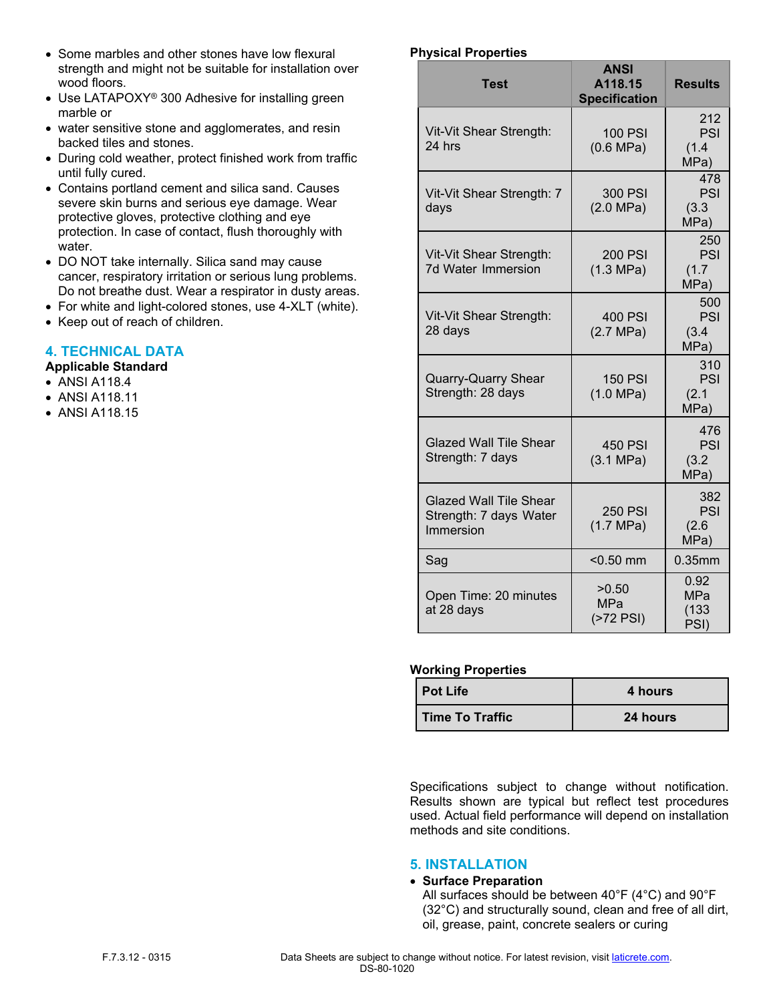- Some marbles and other stones have low flexural strength and might not be suitable for installation over wood floors.
- Use LATAPOXY® 300 Adhesive for installing green marble or
- water sensitive stone and agglomerates, and resin backed tiles and stones.
- During cold weather, protect finished work from traffic until fully cured.
- Contains portland cement and silica sand. Causes severe skin burns and serious eye damage. Wear protective gloves, protective clothing and eye protection. In case of contact, flush thoroughly with water.
- DO NOT take internally. Silica sand may cause cancer, respiratory irritation or serious lung problems. Do not breathe dust. Wear a respirator in dusty areas.
- For white and light-colored stones, use 4-XLT (white).
- Keep out of reach of children.

## **4. TECHNICAL DATA**

#### **Applicable Standard**

- ANSI A118.4
- ANSI A118.11
- ANSI A118.15

#### **Physical Properties**

| <b>Test</b>                                                          | <b>ANSI</b><br>A118.15<br><b>Specification</b> | <b>Results</b>                      |
|----------------------------------------------------------------------|------------------------------------------------|-------------------------------------|
| Vit-Vit Shear Strength:<br>24 hrs                                    | <b>100 PSI</b><br>(0.6 MPa)                    | 212<br>PSI<br>(1.4)<br>MPa)         |
| Vit-Vit Shear Strength: 7<br>days                                    | 300 PSI<br>(2.0 MPa)                           | 478<br>PSI<br>(3.3)<br>MPa)         |
| Vit-Vit Shear Strength:<br>7d Water Immersion                        | <b>200 PSI</b><br>(1.3 MPa)                    | 250<br>PSI<br>(1.7)<br>MPa)         |
| Vit-Vit Shear Strength:<br>28 days                                   | <b>400 PSI</b><br>(2.7 MPa)                    | 500<br>PSI<br>(3.4)<br>MPa)         |
| <b>Quarry-Quarry Shear</b><br>Strength: 28 days                      | <b>150 PSI</b><br>(1.0 MPa)                    | 310<br>PSI<br>(2.1)<br>MPa)         |
| Glazed Wall Tile Shear<br>Strength: 7 days                           | <b>450 PSI</b><br>(3.1 MPa)                    | 476<br>PSI<br>(3.2)<br>MPa)         |
| <b>Glazed Wall Tile Shear</b><br>Strength: 7 days Water<br>Immersion | <b>250 PSI</b><br>(1.7 MPa)                    | 382<br>PSI<br>(2.6)<br>MPa)         |
| Sag                                                                  | $<$ 0.50 mm                                    | $0.35$ mm                           |
| Open Time: 20 minutes<br>at 28 days                                  | >0.50<br><b>MPa</b><br>$($ >72 PSI $)$         | 0.92<br><b>MPa</b><br>(133)<br>PSI) |

#### **Working Properties**

| <b>Pot Life</b> | 4 hours  |
|-----------------|----------|
| Time To Traffic | 24 hours |

Specifications subject to change without notification. Results shown are typical but reflect test procedures used. Actual field performance will depend on installation methods and site conditions.

#### **5. INSTALLATION**

#### **Surface Preparation**

All surfaces should be between 40°F (4°C) and 90°F (32°C) and structurally sound, clean and free of all dirt, oil, grease, paint, concrete sealers or curing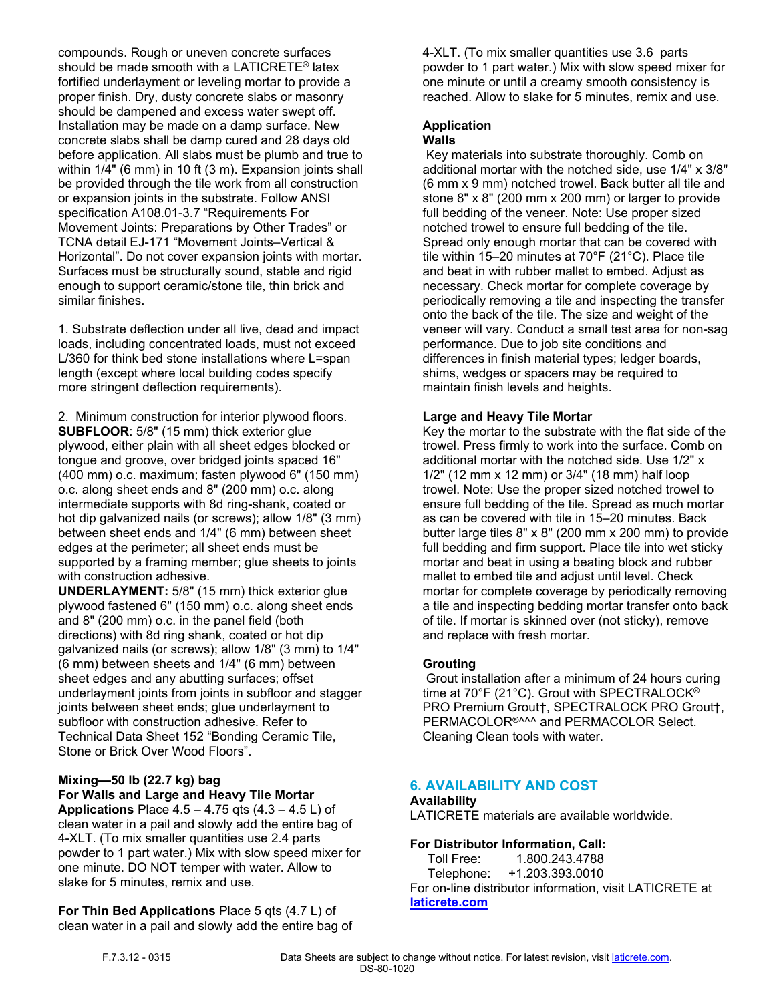compounds. Rough or uneven concrete surfaces should be made smooth with a LATICRETE® latex fortified underlayment or leveling mortar to provide a proper finish. Dry, dusty concrete slabs or masonry should be dampened and excess water swept off. Installation may be made on a damp surface. New concrete slabs shall be damp cured and 28 days old before application. All slabs must be plumb and true to within 1/4" (6 mm) in 10 ft (3 m). Expansion joints shall be provided through the tile work from all construction or expansion joints in the substrate. Follow ANSI specification A108.01-3.7 "Requirements For Movement Joints: Preparations by Other Trades" or TCNA detail EJ-171 "Movement Joints–Vertical & Horizontal". Do not cover expansion joints with mortar. Surfaces must be structurally sound, stable and rigid enough to support ceramic/stone tile, thin brick and similar finishes.

1. Substrate deflection under all live, dead and impact loads, including concentrated loads, must not exceed L/360 for think bed stone installations where L=span length (except where local building codes specify more stringent deflection requirements).

2. Minimum construction for interior plywood floors. **SUBFLOOR**: 5/8" (15 mm) thick exterior glue plywood, either plain with all sheet edges blocked or tongue and groove, over bridged joints spaced 16" (400 mm) o.c. maximum; fasten plywood 6" (150 mm) o.c. along sheet ends and 8" (200 mm) o.c. along intermediate supports with 8d ring-shank, coated or hot dip galvanized nails (or screws); allow 1/8" (3 mm) between sheet ends and 1/4" (6 mm) between sheet edges at the perimeter; all sheet ends must be supported by a framing member; glue sheets to joints with construction adhesive.

**UNDERLAYMENT:** 5/8" (15 mm) thick exterior glue plywood fastened 6" (150 mm) o.c. along sheet ends and 8" (200 mm) o.c. in the panel field (both directions) with 8d ring shank, coated or hot dip galvanized nails (or screws); allow 1/8" (3 mm) to 1/4" (6 mm) between sheets and 1/4" (6 mm) between sheet edges and any abutting surfaces; offset underlayment joints from joints in subfloor and stagger joints between sheet ends; glue underlayment to subfloor with construction adhesive. Refer to Technical Data Sheet 152 "Bonding Ceramic Tile, Stone or Brick Over Wood Floors".

### **Mixing—50 lb (22.7 kg) bag For Walls and Large and Heavy Tile Mortar**

**Applications** Place 4.5 – 4.75 qts (4.3 – 4.5 L) of clean water in a pail and slowly add the entire bag of 4-XLT. (To mix smaller quantities use 2.4 parts powder to 1 part water.) Mix with slow speed mixer for one minute. DO NOT temper with water. Allow to slake for 5 minutes, remix and use.

**For Thin Bed Applications** Place 5 qts (4.7 L) of clean water in a pail and slowly add the entire bag of 4-XLT. (To mix smaller quantities use 3.6 parts powder to 1 part water.) Mix with slow speed mixer for one minute or until a creamy smooth consistency is reached. Allow to slake for 5 minutes, remix and use.

#### **Application Walls**

 Key materials into substrate thoroughly. Comb on additional mortar with the notched side, use 1/4" x 3/8" (6 mm x 9 mm) notched trowel. Back butter all tile and stone 8" x 8" (200 mm x 200 mm) or larger to provide full bedding of the veneer. Note: Use proper sized notched trowel to ensure full bedding of the tile. Spread only enough mortar that can be covered with tile within 15–20 minutes at 70°F (21°C). Place tile and beat in with rubber mallet to embed. Adjust as necessary. Check mortar for complete coverage by periodically removing a tile and inspecting the transfer onto the back of the tile. The size and weight of the veneer will vary. Conduct a small test area for non-sag performance. Due to job site conditions and differences in finish material types; ledger boards, shims, wedges or spacers may be required to maintain finish levels and heights.

### **Large and Heavy Tile Mortar**

Key the mortar to the substrate with the flat side of the trowel. Press firmly to work into the surface. Comb on additional mortar with the notched side. Use 1/2" x 1/2" (12 mm x 12 mm) or 3/4" (18 mm) half loop trowel. Note: Use the proper sized notched trowel to ensure full bedding of the tile. Spread as much mortar as can be covered with tile in 15–20 minutes. Back butter large tiles 8" x 8" (200 mm x 200 mm) to provide full bedding and firm support. Place tile into wet sticky mortar and beat in using a beating block and rubber mallet to embed tile and adjust until level. Check mortar for complete coverage by periodically removing a tile and inspecting bedding mortar transfer onto back of tile. If mortar is skinned over (not sticky), remove and replace with fresh mortar.

## **Grouting**

 Grout installation after a minimum of 24 hours curing time at 70°F (21°C). Grout with SPECTRALOCK® PRO Premium Grout†, SPECTRALOCK PRO Grout†, PERMACOLOR®^^^ and PERMACOLOR Select. Cleaning Clean tools with water.

## **6. AVAILABILITY AND COST**

#### **Availability** LATICRETE materials are available worldwide.

**For Distributor Information, Call:**  Toll Free: 1.800.243.4788 Telephone: +1.203.393.0010 For on-line distributor information, visit LATICRETE at **[laticrete.com](https://laticrete.com/)**